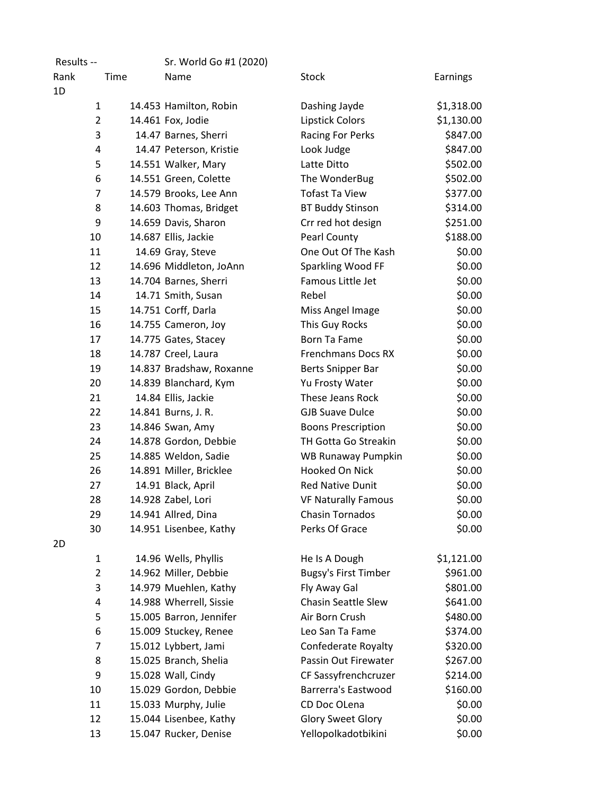| Results --     |      | Sr. World Go #1 (2020)   |                             |            |
|----------------|------|--------------------------|-----------------------------|------------|
| Rank           | Time | Name                     | <b>Stock</b>                | Earnings   |
| 1D             |      |                          |                             |            |
| $\mathbf{1}$   |      | 14.453 Hamilton, Robin   | Dashing Jayde               | \$1,318.00 |
| $\overline{2}$ |      | 14.461 Fox, Jodie        | Lipstick Colors             | \$1,130.00 |
| 3              |      | 14.47 Barnes, Sherri     | <b>Racing For Perks</b>     | \$847.00   |
| 4              |      | 14.47 Peterson, Kristie  | Look Judge                  | \$847.00   |
| 5              |      | 14.551 Walker, Mary      | Latte Ditto                 | \$502.00   |
| 6              |      | 14.551 Green, Colette    | The WonderBug               | \$502.00   |
| $\overline{7}$ |      | 14.579 Brooks, Lee Ann   | <b>Tofast Ta View</b>       | \$377.00   |
| 8              |      | 14.603 Thomas, Bridget   | <b>BT Buddy Stinson</b>     | \$314.00   |
| 9              |      | 14.659 Davis, Sharon     | Crr red hot design          | \$251.00   |
| 10             |      | 14.687 Ellis, Jackie     | Pearl County                | \$188.00   |
| 11             |      | 14.69 Gray, Steve        | One Out Of The Kash         | \$0.00     |
| 12             |      | 14.696 Middleton, JoAnn  | Sparkling Wood FF           | \$0.00     |
| 13             |      | 14.704 Barnes, Sherri    | Famous Little Jet           | \$0.00     |
| 14             |      | 14.71 Smith, Susan       | Rebel                       | \$0.00     |
| 15             |      | 14.751 Corff, Darla      | Miss Angel Image            | \$0.00     |
| 16             |      | 14.755 Cameron, Joy      | This Guy Rocks              | \$0.00     |
| 17             |      | 14.775 Gates, Stacey     | <b>Born Ta Fame</b>         | \$0.00     |
| 18             |      | 14.787 Creel, Laura      | <b>Frenchmans Docs RX</b>   | \$0.00     |
| 19             |      | 14.837 Bradshaw, Roxanne | <b>Berts Snipper Bar</b>    | \$0.00     |
| 20             |      | 14.839 Blanchard, Kym    | Yu Frosty Water             | \$0.00     |
| 21             |      | 14.84 Ellis, Jackie      | These Jeans Rock            | \$0.00     |
| 22             |      | 14.841 Burns, J. R.      | <b>GJB Suave Dulce</b>      | \$0.00     |
| 23             |      | 14.846 Swan, Amy         | <b>Boons Prescription</b>   | \$0.00     |
| 24             |      | 14.878 Gordon, Debbie    | TH Gotta Go Streakin        | \$0.00     |
| 25             |      | 14.885 Weldon, Sadie     | WB Runaway Pumpkin          | \$0.00     |
| 26             |      | 14.891 Miller, Bricklee  | Hooked On Nick              | \$0.00     |
| 27             |      | 14.91 Black, April       | <b>Red Native Dunit</b>     | \$0.00     |
| 28             |      | 14.928 Zabel, Lori       | <b>VF Naturally Famous</b>  | \$0.00     |
| 29             |      | 14.941 Allred, Dina      | <b>Chasin Tornados</b>      | \$0.00     |
| 30             |      | 14.951 Lisenbee, Kathy   | Perks Of Grace              | \$0.00     |
| 2D             |      |                          |                             |            |
| $\mathbf{1}$   |      | 14.96 Wells, Phyllis     | He Is A Dough               | \$1,121.00 |
| $\overline{2}$ |      | 14.962 Miller, Debbie    | <b>Bugsy's First Timber</b> | \$961.00   |
| 3              |      | 14.979 Muehlen, Kathy    | Fly Away Gal                | \$801.00   |
| 4              |      | 14.988 Wherrell, Sissie  | <b>Chasin Seattle Slew</b>  | \$641.00   |
| 5              |      | 15.005 Barron, Jennifer  | Air Born Crush              | \$480.00   |
| 6              |      | 15.009 Stuckey, Renee    | Leo San Ta Fame             | \$374.00   |
| $\overline{7}$ |      | 15.012 Lybbert, Jami     | <b>Confederate Royalty</b>  | \$320.00   |
| 8              |      | 15.025 Branch, Shelia    | Passin Out Firewater        | \$267.00   |
| 9              |      | 15.028 Wall, Cindy       | CF Sassyfrenchcruzer        | \$214.00   |
| 10             |      | 15.029 Gordon, Debbie    | <b>Barrerra's Eastwood</b>  | \$160.00   |
| 11             |      | 15.033 Murphy, Julie     | CD Doc OLena                | \$0.00     |
| 12             |      | 15.044 Lisenbee, Kathy   | <b>Glory Sweet Glory</b>    | \$0.00     |
| 13             |      | 15.047 Rucker, Denise    | Yellopolkadotbikini         | \$0.00     |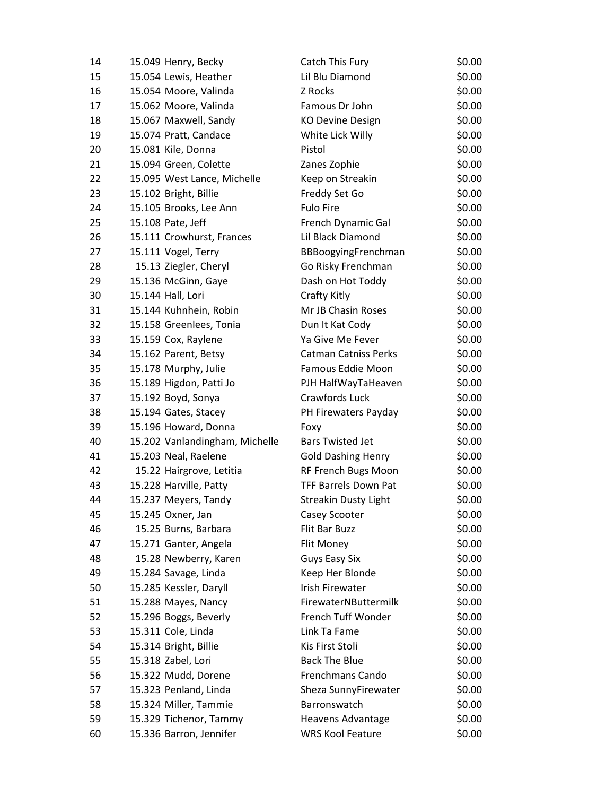| 14 | 15.049 Henry, Becky            | Catch This Fury             | \$0.00 |
|----|--------------------------------|-----------------------------|--------|
| 15 | 15.054 Lewis, Heather          | Lil Blu Diamond             | \$0.00 |
| 16 | 15.054 Moore, Valinda          | Z Rocks                     | \$0.00 |
| 17 | 15.062 Moore, Valinda          | Famous Dr John              | \$0.00 |
| 18 | 15.067 Maxwell, Sandy          | <b>KO Devine Design</b>     | \$0.00 |
| 19 | 15.074 Pratt, Candace          | White Lick Willy            | \$0.00 |
| 20 | 15.081 Kile, Donna             | Pistol                      | \$0.00 |
| 21 | 15.094 Green, Colette          | Zanes Zophie                | \$0.00 |
| 22 | 15.095 West Lance, Michelle    | Keep on Streakin            | \$0.00 |
| 23 | 15.102 Bright, Billie          | Freddy Set Go               | \$0.00 |
| 24 | 15.105 Brooks, Lee Ann         | <b>Fulo Fire</b>            | \$0.00 |
| 25 | 15.108 Pate, Jeff              | French Dynamic Gal          | \$0.00 |
| 26 | 15.111 Crowhurst, Frances      | Lil Black Diamond           | \$0.00 |
| 27 | 15.111 Vogel, Terry            | BBBoogyingFrenchman         | \$0.00 |
| 28 | 15.13 Ziegler, Cheryl          | Go Risky Frenchman          | \$0.00 |
| 29 | 15.136 McGinn, Gaye            | Dash on Hot Toddy           | \$0.00 |
| 30 | 15.144 Hall, Lori              | Crafty Kitly                | \$0.00 |
| 31 | 15.144 Kuhnhein, Robin         | Mr JB Chasin Roses          | \$0.00 |
| 32 | 15.158 Greenlees, Tonia        | Dun It Kat Cody             | \$0.00 |
| 33 | 15.159 Cox, Raylene            | Ya Give Me Fever            | \$0.00 |
| 34 | 15.162 Parent, Betsy           | <b>Catman Catniss Perks</b> | \$0.00 |
| 35 | 15.178 Murphy, Julie           | Famous Eddie Moon           | \$0.00 |
| 36 | 15.189 Higdon, Patti Jo        | PJH HalfWayTaHeaven         | \$0.00 |
| 37 | 15.192 Boyd, Sonya             | Crawfords Luck              | \$0.00 |
| 38 | 15.194 Gates, Stacey           | PH Firewaters Payday        | \$0.00 |
| 39 | 15.196 Howard, Donna           | Foxy                        | \$0.00 |
| 40 | 15.202 Vanlandingham, Michelle | <b>Bars Twisted Jet</b>     | \$0.00 |
| 41 | 15.203 Neal, Raelene           | <b>Gold Dashing Henry</b>   | \$0.00 |
| 42 | 15.22 Hairgrove, Letitia       | RF French Bugs Moon         | \$0.00 |
| 43 | 15.228 Harville, Patty         | <b>TFF Barrels Down Pat</b> | \$0.00 |
| 44 | 15.237 Meyers, Tandy           | <b>Streakin Dusty Light</b> | \$0.00 |
| 45 | 15.245 Oxner, Jan              | Casey Scooter               | \$0.00 |
| 46 | 15.25 Burns, Barbara           | Flit Bar Buzz               | \$0.00 |
| 47 | 15.271 Ganter, Angela          | Flit Money                  | \$0.00 |
| 48 | 15.28 Newberry, Karen          | Guys Easy Six               | \$0.00 |
| 49 | 15.284 Savage, Linda           | Keep Her Blonde             | \$0.00 |
| 50 | 15.285 Kessler, Daryll         | <b>Irish Firewater</b>      | \$0.00 |
| 51 | 15.288 Mayes, Nancy            | FirewaterNButtermilk        | \$0.00 |
| 52 | 15.296 Boggs, Beverly          | French Tuff Wonder          | \$0.00 |
| 53 | 15.311 Cole, Linda             | Link Ta Fame                | \$0.00 |
| 54 | 15.314 Bright, Billie          | Kis First Stoli             | \$0.00 |
| 55 | 15.318 Zabel, Lori             | <b>Back The Blue</b>        | \$0.00 |
| 56 | 15.322 Mudd, Dorene            | Frenchmans Cando            | \$0.00 |
| 57 | 15.323 Penland, Linda          | Sheza SunnyFirewater        | \$0.00 |
| 58 | 15.324 Miller, Tammie          | Barronswatch                | \$0.00 |
| 59 | 15.329 Tichenor, Tammy         | Heavens Advantage           | \$0.00 |
| 60 | 15.336 Barron, Jennifer        | <b>WRS Kool Feature</b>     | \$0.00 |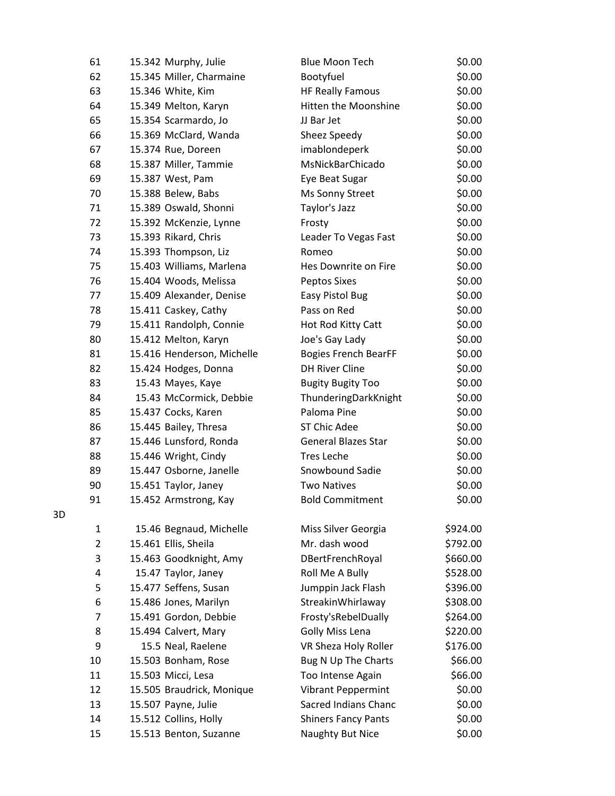| 61             | 15.342 Murphy, Julie       | <b>Blue Moon Tech</b>       | \$0.00   |
|----------------|----------------------------|-----------------------------|----------|
| 62             | 15.345 Miller, Charmaine   | Bootyfuel                   | \$0.00   |
| 63             | 15.346 White, Kim          | <b>HF Really Famous</b>     | \$0.00   |
| 64             | 15.349 Melton, Karyn       | Hitten the Moonshine        | \$0.00   |
| 65             | 15.354 Scarmardo, Jo       | JJ Bar Jet                  | \$0.00   |
| 66             | 15.369 McClard, Wanda      | Sheez Speedy                | \$0.00   |
| 67             | 15.374 Rue, Doreen         | imablondeperk               | \$0.00   |
| 68             | 15.387 Miller, Tammie      | MsNickBarChicado            | \$0.00   |
| 69             | 15.387 West, Pam           | Eye Beat Sugar              | \$0.00   |
| 70             | 15.388 Belew, Babs         | Ms Sonny Street             | \$0.00   |
| 71             | 15.389 Oswald, Shonni      | Taylor's Jazz               | \$0.00   |
| 72             | 15.392 McKenzie, Lynne     | Frosty                      | \$0.00   |
| 73             | 15.393 Rikard, Chris       | Leader To Vegas Fast        | \$0.00   |
| 74             | 15.393 Thompson, Liz       | Romeo                       | \$0.00   |
| 75             | 15.403 Williams, Marlena   | Hes Downrite on Fire        | \$0.00   |
| 76             | 15.404 Woods, Melissa      | <b>Peptos Sixes</b>         | \$0.00   |
| 77             | 15.409 Alexander, Denise   | Easy Pistol Bug             | \$0.00   |
| 78             | 15.411 Caskey, Cathy       | Pass on Red                 | \$0.00   |
| 79             | 15.411 Randolph, Connie    | Hot Rod Kitty Catt          | \$0.00   |
| 80             | 15.412 Melton, Karyn       | Joe's Gay Lady              | \$0.00   |
| 81             | 15.416 Henderson, Michelle | <b>Bogies French BearFF</b> | \$0.00   |
| 82             | 15.424 Hodges, Donna       | <b>DH River Cline</b>       | \$0.00   |
| 83             | 15.43 Mayes, Kaye          | <b>Bugity Bugity Too</b>    | \$0.00   |
| 84             | 15.43 McCormick, Debbie    | ThunderingDarkKnight        | \$0.00   |
| 85             | 15.437 Cocks, Karen        | Paloma Pine                 | \$0.00   |
| 86             | 15.445 Bailey, Thresa      | <b>ST Chic Adee</b>         | \$0.00   |
| 87             | 15.446 Lunsford, Ronda     | <b>General Blazes Star</b>  | \$0.00   |
| 88             | 15.446 Wright, Cindy       | <b>Tres Leche</b>           | \$0.00   |
| 89             | 15.447 Osborne, Janelle    | Snowbound Sadie             | \$0.00   |
| 90             | 15.451 Taylor, Janey       | <b>Two Natives</b>          | \$0.00   |
| 91             | 15.452 Armstrong, Kay      | <b>Bold Commitment</b>      | \$0.00   |
| 1              | 15.46 Begnaud, Michelle    | Miss Silver Georgia         | \$924.00 |
| $\overline{2}$ | 15.461 Ellis, Sheila       | Mr. dash wood               | \$792.00 |
| 3              | 15.463 Goodknight, Amy     | DBertFrenchRoyal            | \$660.00 |
| 4              | 15.47 Taylor, Janey        | Roll Me A Bully             | \$528.00 |
| 5              | 15.477 Seffens, Susan      | Jumppin Jack Flash          | \$396.00 |
| 6              | 15.486 Jones, Marilyn      | StreakinWhirlaway           | \$308.00 |
| $\overline{7}$ | 15.491 Gordon, Debbie      | Frosty'sRebelDually         | \$264.00 |
| 8              | 15.494 Calvert, Mary       | <b>Golly Miss Lena</b>      | \$220.00 |
| 9              | 15.5 Neal, Raelene         | VR Sheza Holy Roller        | \$176.00 |
| 10             | 15.503 Bonham, Rose        | Bug N Up The Charts         | \$66.00  |
| 11             | 15.503 Micci, Lesa         | Too Intense Again           | \$66.00  |
| 12             | 15.505 Braudrick, Monique  | Vibrant Peppermint          | \$0.00   |
| 13             | 15.507 Payne, Julie        | Sacred Indians Chanc        | \$0.00   |
| 14             | 15.512 Collins, Holly      | <b>Shiners Fancy Pants</b>  | \$0.00   |
| 15             | 15.513 Benton, Suzanne     | Naughty But Nice            | \$0.00   |

3D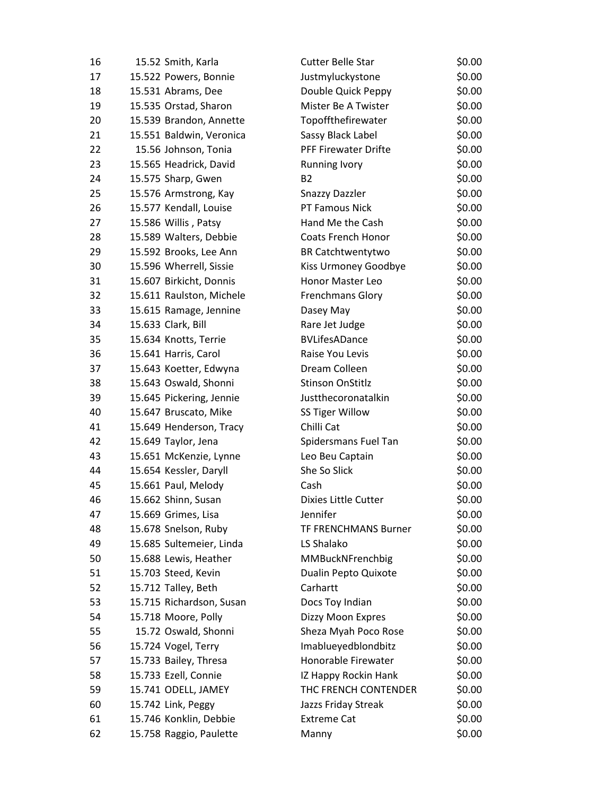| 16       | 15.52 Smith, Karla                          | <b>Cutter Belle Star</b>                     | \$0.00           |
|----------|---------------------------------------------|----------------------------------------------|------------------|
| 17       | 15.522 Powers, Bonnie                       | Justmyluckystone                             | \$0.00           |
| 18       | 15.531 Abrams, Dee                          | Double Quick Peppy                           | \$0.00           |
| 19       | 15.535 Orstad, Sharon                       | Mister Be A Twister                          | \$0.00           |
| 20       | 15.539 Brandon, Annette                     | Topoffthefirewater                           | \$0.00           |
| 21       | 15.551 Baldwin, Veronica                    | Sassy Black Label                            | \$0.00           |
| 22       | 15.56 Johnson, Tonia                        | <b>PFF Firewater Drifte</b>                  | \$0.00           |
| 23       | 15.565 Headrick, David                      | <b>Running Ivory</b>                         | \$0.00           |
| 24       | 15.575 Sharp, Gwen                          | <b>B2</b>                                    | \$0.00           |
| 25       | 15.576 Armstrong, Kay                       | <b>Snazzy Dazzler</b>                        | \$0.00           |
| 26       | 15.577 Kendall, Louise                      | PT Famous Nick                               | \$0.00           |
| 27       | 15.586 Willis, Patsy                        | Hand Me the Cash                             | \$0.00           |
| 28       | 15.589 Walters, Debbie                      | <b>Coats French Honor</b>                    | \$0.00           |
| 29       | 15.592 Brooks, Lee Ann                      | <b>BR Catchtwentytwo</b>                     | \$0.00           |
| 30       | 15.596 Wherrell, Sissie                     | Kiss Urmoney Goodbye                         | \$0.00           |
| 31       | 15.607 Birkicht, Donnis                     | Honor Master Leo                             | \$0.00           |
| 32       | 15.611 Raulston, Michele                    | Frenchmans Glory                             | \$0.00           |
| 33       | 15.615 Ramage, Jennine                      | Dasey May                                    | \$0.00           |
| 34       | 15.633 Clark, Bill                          | Rare Jet Judge                               | \$0.00           |
| 35       | 15.634 Knotts, Terrie                       | <b>BVLifesADance</b>                         | \$0.00           |
| 36       | 15.641 Harris, Carol                        | Raise You Levis                              | \$0.00           |
| 37       | 15.643 Koetter, Edwyna                      | Dream Colleen                                | \$0.00           |
| 38       | 15.643 Oswald, Shonni                       | <b>Stinson OnStitlz</b>                      | \$0.00           |
| 39       | 15.645 Pickering, Jennie                    | Justthecoronatalkin                          | \$0.00           |
| 40       | 15.647 Bruscato, Mike                       | <b>SS Tiger Willow</b>                       | \$0.00           |
| 41       | 15.649 Henderson, Tracy                     | Chilli Cat                                   | \$0.00           |
| 42       | 15.649 Taylor, Jena                         | Spidersmans Fuel Tan                         | \$0.00           |
| 43       | 15.651 McKenzie, Lynne                      | Leo Beu Captain                              | \$0.00           |
| 44       | 15.654 Kessler, Daryll                      | She So Slick                                 | \$0.00           |
| 45       | 15.661 Paul, Melody                         | Cash                                         | \$0.00           |
| 46       | 15.662 Shinn, Susan                         | <b>Dixies Little Cutter</b>                  | \$0.00           |
| 47       | 15.669 Grimes, Lisa                         | Jennifer                                     | \$0.00           |
| 48       | 15.678 Snelson, Ruby                        | TF FRENCHMANS Burner                         | \$0.00           |
| 49       | 15.685 Sultemeier, Linda                    | LS Shalako                                   | \$0.00           |
| 50       | 15.688 Lewis, Heather                       | MMBuckNFrenchbig                             | \$0.00           |
| 51       | 15.703 Steed, Kevin                         | Dualin Pepto Quixote                         | \$0.00           |
| 52       | 15.712 Talley, Beth                         | Carhartt                                     | \$0.00           |
| 53       | 15.715 Richardson, Susan                    | Docs Toy Indian                              | \$0.00           |
| 54       | 15.718 Moore, Polly                         | Dizzy Moon Expres                            | \$0.00           |
| 55       | 15.72 Oswald, Shonni                        | Sheza Myah Poco Rose                         | \$0.00           |
| 56<br>57 | 15.724 Vogel, Terry                         | Imablueyedblondbitz<br>Honorable Firewater   | \$0.00<br>\$0.00 |
| 58       | 15.733 Bailey, Thresa                       |                                              | \$0.00           |
| 59       | 15.733 Ezell, Connie<br>15.741 ODELL, JAMEY | IZ Happy Rockin Hank<br>THC FRENCH CONTENDER | \$0.00           |
| 60       | 15.742 Link, Peggy                          | Jazzs Friday Streak                          | \$0.00           |
| 61       | 15.746 Konklin, Debbie                      | <b>Extreme Cat</b>                           | \$0.00           |
| 62       | 15.758 Raggio, Paulette                     | Manny                                        | \$0.00           |
|          |                                             |                                              |                  |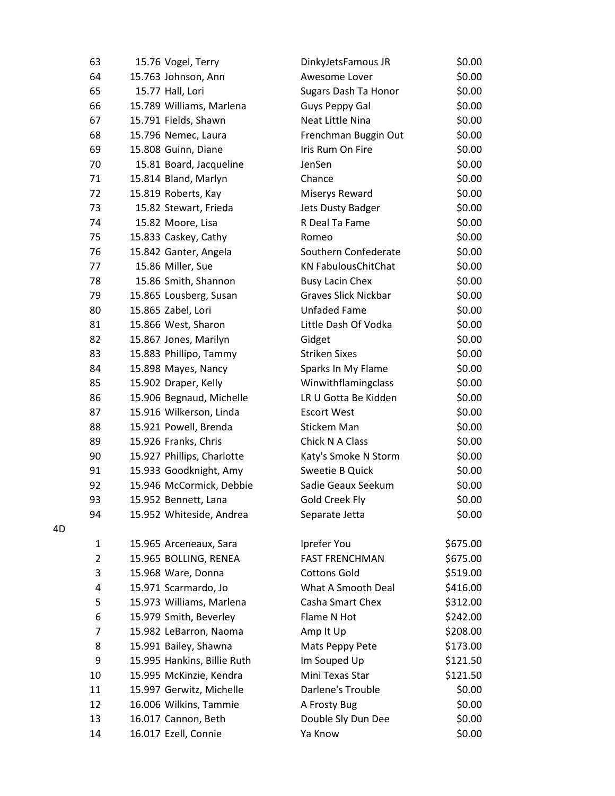| 63             | 15.76 Vogel, Terry          | DinkyJetsFamous JR          | \$0.00   |
|----------------|-----------------------------|-----------------------------|----------|
| 64             | 15.763 Johnson, Ann         | Awesome Lover               | \$0.00   |
| 65             | 15.77 Hall, Lori            | Sugars Dash Ta Honor        | \$0.00   |
| 66             | 15.789 Williams, Marlena    | Guys Peppy Gal              | \$0.00   |
| 67             | 15.791 Fields, Shawn        | Neat Little Nina            | \$0.00   |
| 68             | 15.796 Nemec, Laura         | Frenchman Buggin Out        | \$0.00   |
| 69             | 15.808 Guinn, Diane         | Iris Rum On Fire            | \$0.00   |
| 70             | 15.81 Board, Jacqueline     | JenSen                      | \$0.00   |
| 71             | 15.814 Bland, Marlyn        | Chance                      | \$0.00   |
| 72             | 15.819 Roberts, Kay         | Miserys Reward              | \$0.00   |
| 73             | 15.82 Stewart, Frieda       | <b>Jets Dusty Badger</b>    | \$0.00   |
| 74             | 15.82 Moore, Lisa           | R Deal Ta Fame              | \$0.00   |
| 75             | 15.833 Caskey, Cathy        | Romeo                       | \$0.00   |
| 76             | 15.842 Ganter, Angela       | Southern Confederate        | \$0.00   |
| 77             | 15.86 Miller, Sue           | <b>KN FabulousChitChat</b>  | \$0.00   |
| 78             | 15.86 Smith, Shannon        | <b>Busy Lacin Chex</b>      | \$0.00   |
| 79             | 15.865 Lousberg, Susan      | <b>Graves Slick Nickbar</b> | \$0.00   |
| 80             | 15.865 Zabel, Lori          | <b>Unfaded Fame</b>         | \$0.00   |
| 81             | 15.866 West, Sharon         | Little Dash Of Vodka        | \$0.00   |
| 82             | 15.867 Jones, Marilyn       | Gidget                      | \$0.00   |
| 83             | 15.883 Phillipo, Tammy      | <b>Striken Sixes</b>        | \$0.00   |
| 84             | 15.898 Mayes, Nancy         | Sparks In My Flame          | \$0.00   |
| 85             | 15.902 Draper, Kelly        | Winwithflamingclass         | \$0.00   |
| 86             | 15.906 Begnaud, Michelle    | LR U Gotta Be Kidden        | \$0.00   |
| 87             | 15.916 Wilkerson, Linda     | <b>Escort West</b>          | \$0.00   |
| 88             | 15.921 Powell, Brenda       | Stickem Man                 | \$0.00   |
| 89             | 15.926 Franks, Chris        | Chick N A Class             | \$0.00   |
| 90             | 15.927 Phillips, Charlotte  | Katy's Smoke N Storm        | \$0.00   |
| 91             | 15.933 Goodknight, Amy      | Sweetie B Quick             | \$0.00   |
| 92             | 15.946 McCormick, Debbie    | Sadie Geaux Seekum          | \$0.00   |
| 93             | 15.952 Bennett, Lana        | Gold Creek Fly              | \$0.00   |
| 94             | 15.952 Whiteside, Andrea    | Separate Jetta              | \$0.00   |
| 1              | 15.965 Arceneaux, Sara      | Iprefer You                 | \$675.00 |
| $\overline{2}$ | 15.965 BOLLING, RENEA       | <b>FAST FRENCHMAN</b>       | \$675.00 |
| 3              | 15.968 Ware, Donna          | <b>Cottons Gold</b>         | \$519.00 |
| 4              | 15.971 Scarmardo, Jo        | What A Smooth Deal          | \$416.00 |
| 5              | 15.973 Williams, Marlena    | Casha Smart Chex            | \$312.00 |
| 6              | 15.979 Smith, Beverley      | Flame N Hot                 | \$242.00 |
| $\overline{7}$ | 15.982 LeBarron, Naoma      | Amp It Up                   | \$208.00 |
| 8              | 15.991 Bailey, Shawna       | Mats Peppy Pete             | \$173.00 |
| 9              | 15.995 Hankins, Billie Ruth | Im Souped Up                | \$121.50 |
| 10             | 15.995 McKinzie, Kendra     | Mini Texas Star             | \$121.50 |
| 11             | 15.997 Gerwitz, Michelle    | Darlene's Trouble           | \$0.00   |
| 12             | 16.006 Wilkins, Tammie      | A Frosty Bug                | \$0.00   |
| 13             | 16.017 Cannon, Beth         | Double Sly Dun Dee          | \$0.00   |
| 14             | 16.017 Ezell, Connie        | Ya Know                     | \$0.00   |

4D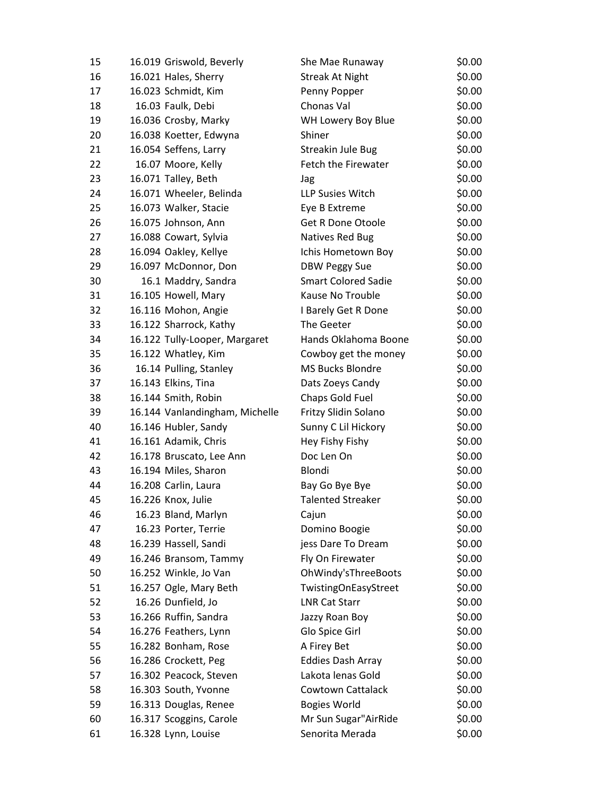| 15 | 16.019 Griswold, Beverly       | She Mae Runaway            | \$0.00 |
|----|--------------------------------|----------------------------|--------|
| 16 | 16.021 Hales, Sherry           | <b>Streak At Night</b>     | \$0.00 |
| 17 | 16.023 Schmidt, Kim            | Penny Popper               | \$0.00 |
| 18 | 16.03 Faulk, Debi              | Chonas Val                 | \$0.00 |
| 19 | 16.036 Crosby, Marky           | WH Lowery Boy Blue         | \$0.00 |
| 20 | 16.038 Koetter, Edwyna         | Shiner                     | \$0.00 |
| 21 | 16.054 Seffens, Larry          | Streakin Jule Bug          | \$0.00 |
| 22 | 16.07 Moore, Kelly             | Fetch the Firewater        | \$0.00 |
| 23 | 16.071 Talley, Beth            | Jag                        | \$0.00 |
| 24 | 16.071 Wheeler, Belinda        | LLP Susies Witch           | \$0.00 |
| 25 | 16.073 Walker, Stacie          | Eye B Extreme              | \$0.00 |
| 26 | 16.075 Johnson, Ann            | Get R Done Otoole          | \$0.00 |
| 27 | 16.088 Cowart, Sylvia          | Natives Red Bug            | \$0.00 |
| 28 | 16.094 Oakley, Kellye          | Ichis Hometown Boy         | \$0.00 |
| 29 | 16.097 McDonnor, Don           | <b>DBW Peggy Sue</b>       | \$0.00 |
| 30 | 16.1 Maddry, Sandra            | <b>Smart Colored Sadie</b> | \$0.00 |
| 31 | 16.105 Howell, Mary            | Kause No Trouble           | \$0.00 |
| 32 | 16.116 Mohon, Angie            | I Barely Get R Done        | \$0.00 |
| 33 | 16.122 Sharrock, Kathy         | The Geeter                 | \$0.00 |
| 34 | 16.122 Tully-Looper, Margaret  | Hands Oklahoma Boone       | \$0.00 |
| 35 | 16.122 Whatley, Kim            | Cowboy get the money       | \$0.00 |
| 36 | 16.14 Pulling, Stanley         | <b>MS Bucks Blondre</b>    | \$0.00 |
| 37 | 16.143 Elkins, Tina            | Dats Zoeys Candy           | \$0.00 |
| 38 | 16.144 Smith, Robin            | Chaps Gold Fuel            | \$0.00 |
| 39 | 16.144 Vanlandingham, Michelle | Fritzy Slidin Solano       | \$0.00 |
| 40 | 16.146 Hubler, Sandy           | Sunny C Lil Hickory        | \$0.00 |
| 41 | 16.161 Adamik, Chris           | Hey Fishy Fishy            | \$0.00 |
| 42 | 16.178 Bruscato, Lee Ann       | Doc Len On                 | \$0.00 |
| 43 | 16.194 Miles, Sharon           | Blondi                     | \$0.00 |
| 44 | 16.208 Carlin, Laura           | Bay Go Bye Bye             | \$0.00 |
| 45 | 16.226 Knox, Julie             | <b>Talented Streaker</b>   | \$0.00 |
| 46 | 16.23 Bland, Marlyn            | Cajun                      | \$0.00 |
| 47 | 16.23 Porter, Terrie           | Domino Boogie              | \$0.00 |
| 48 | 16.239 Hassell, Sandi          | jess Dare To Dream         | \$0.00 |
| 49 | 16.246 Bransom, Tammy          | Fly On Firewater           | \$0.00 |
| 50 | 16.252 Winkle, Jo Van          | OhWindy'sThreeBoots        | \$0.00 |
| 51 | 16.257 Ogle, Mary Beth         | TwistingOnEasyStreet       | \$0.00 |
| 52 | 16.26 Dunfield, Jo             | <b>LNR Cat Starr</b>       | \$0.00 |
| 53 | 16.266 Ruffin, Sandra          | Jazzy Roan Boy             | \$0.00 |
| 54 | 16.276 Feathers, Lynn          | Glo Spice Girl             | \$0.00 |
| 55 | 16.282 Bonham, Rose            | A Firey Bet                | \$0.00 |
| 56 | 16.286 Crockett, Peg           | <b>Eddies Dash Array</b>   | \$0.00 |
| 57 | 16.302 Peacock, Steven         | Lakota lenas Gold          | \$0.00 |
| 58 | 16.303 South, Yvonne           | Cowtown Cattalack          | \$0.00 |
| 59 | 16.313 Douglas, Renee          | <b>Bogies World</b>        | \$0.00 |
| 60 | 16.317 Scoggins, Carole        | Mr Sun Sugar"AirRide       | \$0.00 |
| 61 | 16.328 Lynn, Louise            | Senorita Merada            | \$0.00 |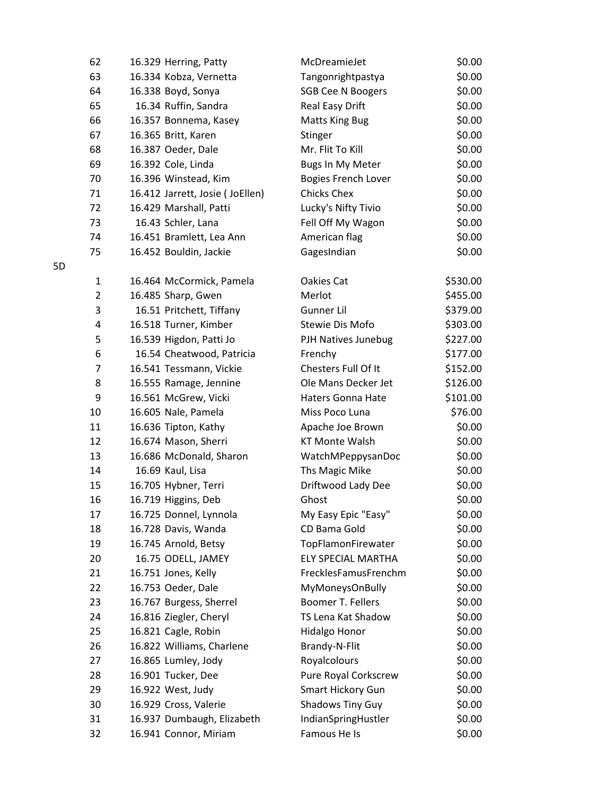| 62             | 16.329 Herring, Patty           | McDreamieJet               | \$0.00   |
|----------------|---------------------------------|----------------------------|----------|
| 63             | 16.334 Kobza, Vernetta          | Tangonrightpastya          | \$0.00   |
| 64             | 16.338 Boyd, Sonya              | <b>SGB Cee N Boogers</b>   | \$0.00   |
| 65             | 16.34 Ruffin, Sandra            | Real Easy Drift            | \$0.00   |
| 66             | 16.357 Bonnema, Kasey           | <b>Matts King Bug</b>      | \$0.00   |
| 67             | 16.365 Britt, Karen             | Stinger                    | \$0.00   |
| 68             | 16.387 Oeder, Dale              | Mr. Flit To Kill           | \$0.00   |
| 69             | 16.392 Cole, Linda              | Bugs In My Meter           | \$0.00   |
| 70             | 16.396 Winstead, Kim            | <b>Bogies French Lover</b> | \$0.00   |
| 71             | 16.412 Jarrett, Josie (JoEllen) | <b>Chicks Chex</b>         | \$0.00   |
| 72             | 16.429 Marshall, Patti          | Lucky's Nifty Tivio        | \$0.00   |
| 73             | 16.43 Schler, Lana              | Fell Off My Wagon          | \$0.00   |
| 74             | 16.451 Bramlett, Lea Ann        | American flag              | \$0.00   |
| 75             | 16.452 Bouldin, Jackie          | GagesIndian                | \$0.00   |
| 1              | 16.464 McCormick, Pamela        | Oakies Cat                 | \$530.00 |
| $\overline{2}$ | 16.485 Sharp, Gwen              | Merlot                     | \$455.00 |
| 3              | 16.51 Pritchett, Tiffany        | Gunner Lil                 | \$379.00 |
| 4              | 16.518 Turner, Kimber           | Stewie Dis Mofo            | \$303.00 |
| 5              | 16.539 Higdon, Patti Jo         | PJH Natives Junebug        | \$227.00 |
| 6              | 16.54 Cheatwood, Patricia       | Frenchy                    | \$177.00 |
| $\overline{7}$ | 16.541 Tessmann, Vickie         | Chesters Full Of It        | \$152.00 |
| 8              | 16.555 Ramage, Jennine          | Ole Mans Decker Jet        | \$126.00 |
| 9              | 16.561 McGrew, Vicki            | <b>Haters Gonna Hate</b>   | \$101.00 |
| 10             | 16.605 Nale, Pamela             | Miss Poco Luna             | \$76.00  |
| 11             | 16.636 Tipton, Kathy            | Apache Joe Brown           | \$0.00   |
| 12             | 16.674 Mason, Sherri            | <b>KT Monte Walsh</b>      | \$0.00   |
| 13             | 16.686 McDonald, Sharon         | WatchMPeppysanDoc          | \$0.00   |
| 14             | 16.69 Kaul, Lisa                | Ths Magic Mike             | \$0.00   |
| 15             | 16.705 Hybner, Terri            | Driftwood Lady Dee         | \$0.00   |
| 16             | 16.719 Higgins, Deb             | Ghost                      | \$0.00   |
| 17             | 16.725 Donnel, Lynnola          | My Easy Epic "Easy"        | \$0.00   |
| 18             | 16.728 Davis, Wanda             | CD Bama Gold               | \$0.00   |
| 19             | 16.745 Arnold, Betsy            | TopFlamonFirewater         | \$0.00   |
| 20             | 16.75 ODELL, JAMEY              | ELY SPECIAL MARTHA         | \$0.00   |
| 21             | 16.751 Jones, Kelly             | FrecklesFamusFrenchm       | \$0.00   |
| 22             | 16.753 Oeder, Dale              | <b>MyMoneysOnBully</b>     | \$0.00   |
| 23             | 16.767 Burgess, Sherrel         | Boomer T. Fellers          | \$0.00   |
| 24             | 16.816 Ziegler, Cheryl          | TS Lena Kat Shadow         | \$0.00   |
| 25             | 16.821 Cagle, Robin             | Hidalgo Honor              | \$0.00   |
| 26             | 16.822 Williams, Charlene       | Brandy-N-Flit              | \$0.00   |
| 27             | 16.865 Lumley, Jody             | Royalcolours               | \$0.00   |
| 28             | 16.901 Tucker, Dee              | Pure Royal Corkscrew       | \$0.00   |
| 29             | 16.922 West, Judy               | Smart Hickory Gun          | \$0.00   |
| 30             | 16.929 Cross, Valerie           | <b>Shadows Tiny Guy</b>    | \$0.00   |
| 31             | 16.937 Dumbaugh, Elizabeth      | IndianSpringHustler        | \$0.00   |
| 32             | 16.941 Connor, Miriam           | Famous He Is               | \$0.00   |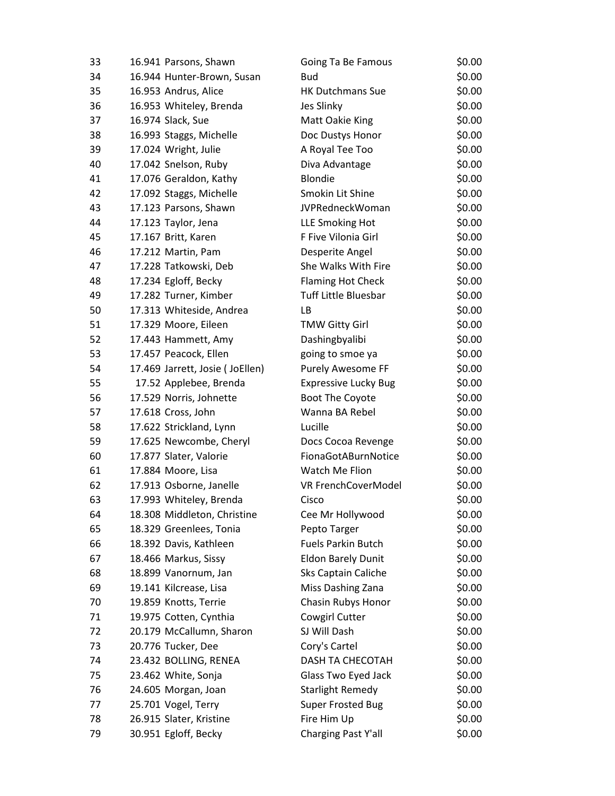| 33 | 16.941 Parsons, Shawn           | Going Ta Be Famous          | \$0.00 |
|----|---------------------------------|-----------------------------|--------|
| 34 | 16.944 Hunter-Brown, Susan      | <b>Bud</b>                  | \$0.00 |
| 35 | 16.953 Andrus, Alice            | <b>HK Dutchmans Sue</b>     | \$0.00 |
| 36 | 16.953 Whiteley, Brenda         | Jes Slinky                  | \$0.00 |
| 37 | 16.974 Slack, Sue               | Matt Oakie King             | \$0.00 |
| 38 | 16.993 Staggs, Michelle         | Doc Dustys Honor            | \$0.00 |
| 39 | 17.024 Wright, Julie            | A Royal Tee Too             | \$0.00 |
| 40 | 17.042 Snelson, Ruby            | Diva Advantage              | \$0.00 |
| 41 | 17.076 Geraldon, Kathy          | Blondie                     | \$0.00 |
| 42 | 17.092 Staggs, Michelle         | Smokin Lit Shine            | \$0.00 |
| 43 | 17.123 Parsons, Shawn           | JVPRedneckWoman             | \$0.00 |
| 44 | 17.123 Taylor, Jena             | LLE Smoking Hot             | \$0.00 |
| 45 | 17.167 Britt, Karen             | F Five Vilonia Girl         | \$0.00 |
| 46 | 17.212 Martin, Pam              | Desperite Angel             | \$0.00 |
| 47 | 17.228 Tatkowski, Deb           | She Walks With Fire         | \$0.00 |
| 48 | 17.234 Egloff, Becky            | <b>Flaming Hot Check</b>    | \$0.00 |
| 49 | 17.282 Turner, Kimber           | <b>Tuff Little Bluesbar</b> | \$0.00 |
| 50 | 17.313 Whiteside, Andrea        | LB                          | \$0.00 |
| 51 | 17.329 Moore, Eileen            | <b>TMW Gitty Girl</b>       | \$0.00 |
| 52 | 17.443 Hammett, Amy             | Dashingbyalibi              | \$0.00 |
| 53 | 17.457 Peacock, Ellen           | going to smoe ya            | \$0.00 |
| 54 | 17.469 Jarrett, Josie (JoEllen) | <b>Purely Awesome FF</b>    | \$0.00 |
| 55 | 17.52 Applebee, Brenda          | <b>Expressive Lucky Bug</b> | \$0.00 |
| 56 | 17.529 Norris, Johnette         | Boot The Coyote             | \$0.00 |
| 57 | 17.618 Cross, John              | Wanna BA Rebel              | \$0.00 |
| 58 | 17.622 Strickland, Lynn         | Lucille                     | \$0.00 |
| 59 | 17.625 Newcombe, Cheryl         | Docs Cocoa Revenge          | \$0.00 |
| 60 | 17.877 Slater, Valorie          | FionaGotABurnNotice         | \$0.00 |
| 61 | 17.884 Moore, Lisa              | Watch Me Flion              | \$0.00 |
| 62 | 17.913 Osborne, Janelle         | VR FrenchCoverModel         | \$0.00 |
| 63 | 17.993 Whiteley, Brenda         | Cisco                       | \$0.00 |
| 64 | 18.308 Middleton, Christine     | Cee Mr Hollywood            | \$0.00 |
| 65 | 18.329 Greenlees, Tonia         | Pepto Targer                | \$0.00 |
| 66 | 18.392 Davis, Kathleen          | <b>Fuels Parkin Butch</b>   | \$0.00 |
| 67 | 18.466 Markus, Sissy            | <b>Eldon Barely Dunit</b>   | \$0.00 |
| 68 | 18.899 Vanornum, Jan            | Sks Captain Caliche         | \$0.00 |
| 69 | 19.141 Kilcrease, Lisa          | Miss Dashing Zana           | \$0.00 |
| 70 | 19.859 Knotts, Terrie           | Chasin Rubys Honor          | \$0.00 |
| 71 | 19.975 Cotten, Cynthia          | Cowgirl Cutter              | \$0.00 |
| 72 | 20.179 McCallumn, Sharon        | SJ Will Dash                | \$0.00 |
| 73 | 20.776 Tucker, Dee              | Cory's Cartel               | \$0.00 |
| 74 | 23.432 BOLLING, RENEA           | DASH TA CHECOTAH            | \$0.00 |
| 75 | 23.462 White, Sonja             | Glass Two Eyed Jack         | \$0.00 |
| 76 | 24.605 Morgan, Joan             | <b>Starlight Remedy</b>     | \$0.00 |
| 77 | 25.701 Vogel, Terry             | <b>Super Frosted Bug</b>    | \$0.00 |
| 78 | 26.915 Slater, Kristine         | Fire Him Up                 | \$0.00 |
| 79 | 30.951 Egloff, Becky            | Charging Past Y'all         | \$0.00 |